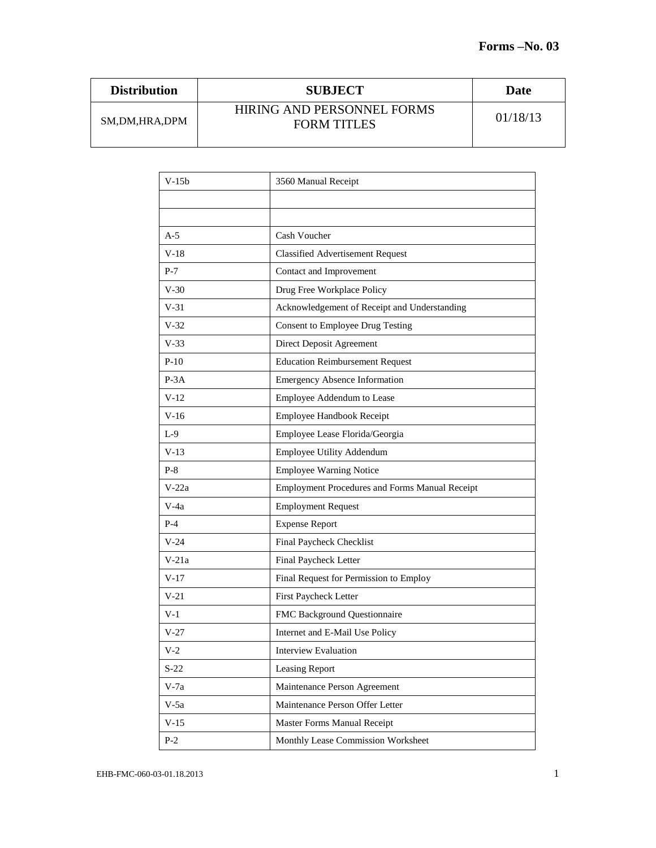| <b>Distribution</b> | <b>SUBJECT</b>                                   | Date     |
|---------------------|--------------------------------------------------|----------|
| SM,DM,HRA,DPM       | HIRING AND PERSONNEL FORMS<br><b>FORM TITLES</b> | 01/18/13 |

| $V-15b$ | 3560 Manual Receipt                            |  |
|---------|------------------------------------------------|--|
|         |                                                |  |
|         |                                                |  |
| $A-5$   | Cash Voucher                                   |  |
| $V-18$  | <b>Classified Advertisement Request</b>        |  |
| $P-7$   | Contact and Improvement                        |  |
| $V-30$  | Drug Free Workplace Policy                     |  |
| $V-31$  | Acknowledgement of Receipt and Understanding   |  |
| $V-32$  | <b>Consent to Employee Drug Testing</b>        |  |
| $V-33$  | Direct Deposit Agreement                       |  |
| $P-10$  | <b>Education Reimbursement Request</b>         |  |
| $P-3A$  | <b>Emergency Absence Information</b>           |  |
| $V-12$  | Employee Addendum to Lease                     |  |
| $V-16$  | Employee Handbook Receipt                      |  |
| $L-9$   | Employee Lease Florida/Georgia                 |  |
| $V-13$  | Employee Utility Addendum                      |  |
| $P-8$   | <b>Employee Warning Notice</b>                 |  |
| V-22a   | Employment Procedures and Forms Manual Receipt |  |
| V-4a    | <b>Employment Request</b>                      |  |
| $P-4$   | <b>Expense Report</b>                          |  |
| $V-24$  | Final Paycheck Checklist                       |  |
| $V-21a$ | Final Paycheck Letter                          |  |
| V-17    | Final Request for Permission to Employ         |  |
| $V-21$  | First Paycheck Letter                          |  |
| $V-1$   | FMC Background Questionnaire                   |  |
| $V-27$  | Internet and E-Mail Use Policy                 |  |
| V-2     | Interview Evaluation                           |  |
| $S-22$  | Leasing Report                                 |  |
| $V-7a$  | Maintenance Person Agreement                   |  |
| $V-5a$  | Maintenance Person Offer Letter                |  |
| $V-15$  | Master Forms Manual Receipt                    |  |
| $P-2$   | Monthly Lease Commission Worksheet             |  |